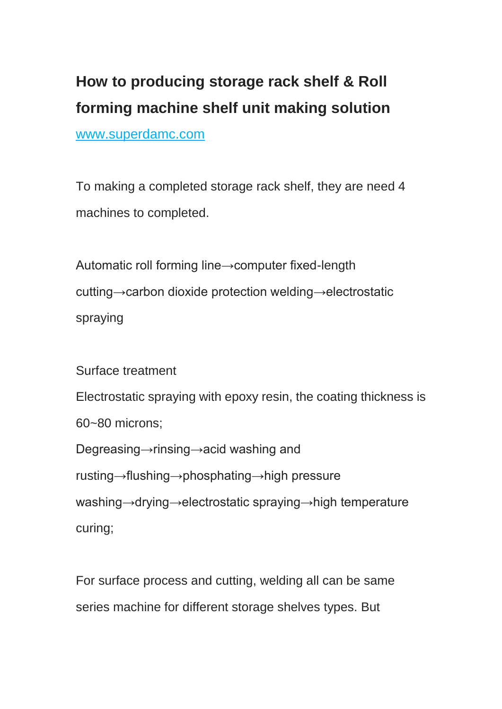## **How to producing storage rack shelf & Roll forming machine shelf unit making solution** www.superdamc.com

To making a completed storage rack shelf, they are need 4 machines to completed.

Automatic roll forming line→computer fixed-length cutting→carbon dioxide protection welding→electrostatic spraying

Surface treatment

Electrostatic spraying with epoxy resin, the coating thickness is

60~80 microns;

Degreasing→rinsing→acid washing and

rusting→flushing→phosphating→high pressure

washing→drying→electrostatic spraying→high temperature curing;

For surface process and cutting, welding all can be same series machine for different storage shelves types. But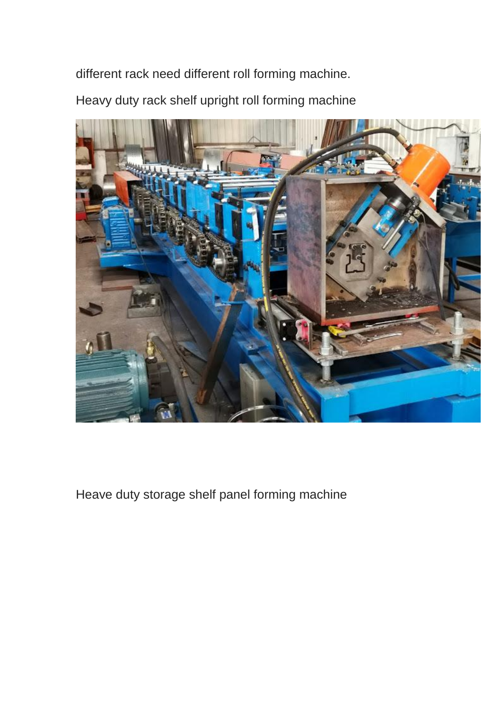different rack need different roll forming machine.

Heavy duty rack shelf upright roll forming machine



Heave duty storage shelf panel forming machine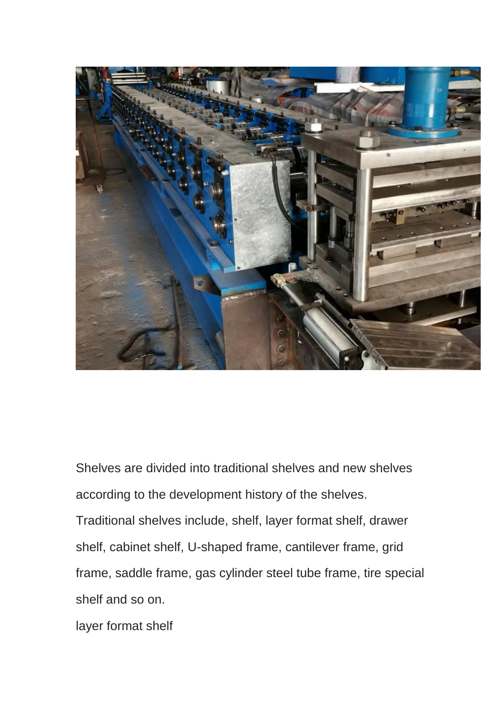

Shelves are divided into traditional shelves and new shelves according to the development history of the shelves. Traditional shelves include, shelf, layer format shelf, drawer shelf, cabinet shelf, U-shaped frame, cantilever frame, grid frame, saddle frame, gas cylinder steel tube frame, tire special shelf and so on.

layer format shelf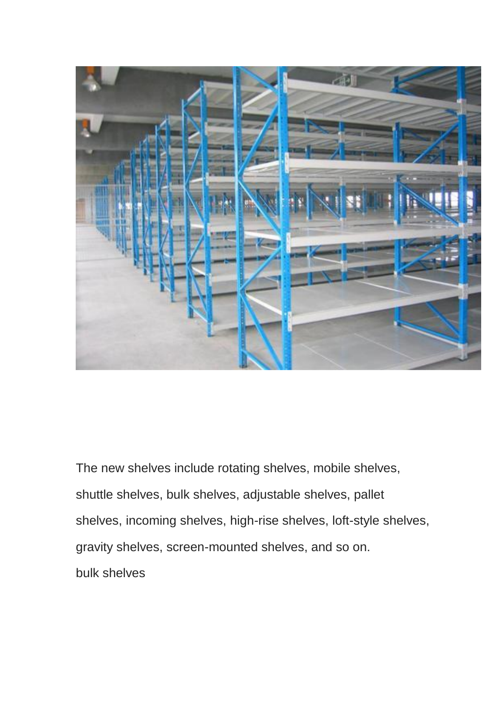

The new shelves include rotating shelves, mobile shelves, shuttle shelves, bulk shelves, adjustable shelves, pallet shelves, incoming shelves, high-rise shelves, loft-style shelves, gravity shelves, screen-mounted shelves, and so on. bulk shelves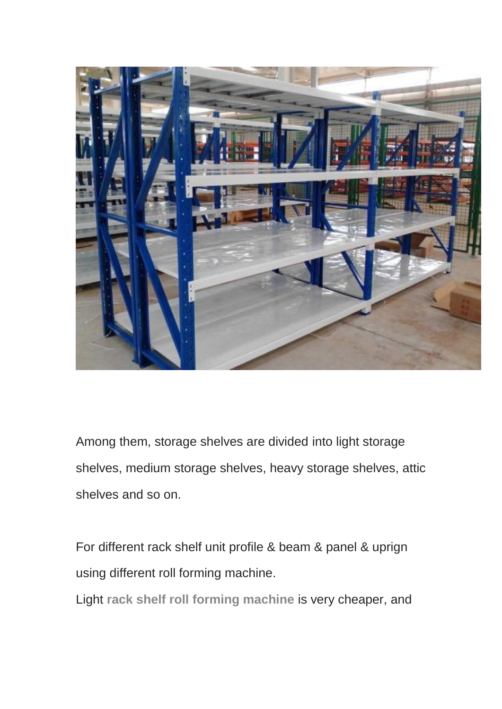

Among them, storage shelves are divided into light storage shelves, medium storage shelves, heavy storage shelves, attic shelves and so on.

For different rack shelf unit profile & beam & panel & uprign using different roll forming machine.

Light **[rack shelf roll forming machine](https://www.superdamc.com/Rack-roll-forming-machine/)** is very cheaper, and